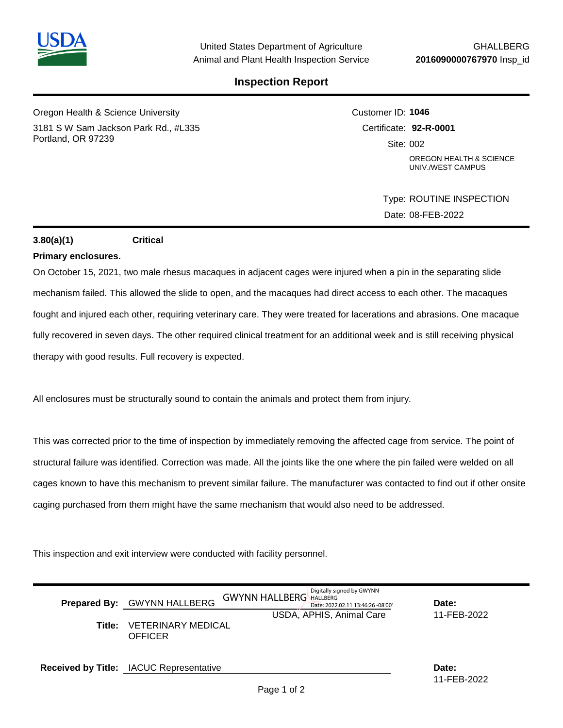

## **Inspection Report**

Oregon Health & Science University 3181 S W Sam Jackson Park Rd., #L335 Portland, OR 97239

Customer ID: **1046** Certificate: **92-R-0001**  Site: 002 OREGON HEALTH & SCIENCE UNIV./WEST CAMPUS

> Type: ROUTINE INSPECTION Date: 08-FEB-2022

## **3.80(a)(1) Critical**

## **Primary enclosures.**

On October 15, 2021, two male rhesus macaques in adjacent cages were injured when a pin in the separating slide mechanism failed. This allowed the slide to open, and the macaques had direct access to each other. The macaques fought and injured each other, requiring veterinary care. They were treated for lacerations and abrasions. One macaque fully recovered in seven days. The other required clinical treatment for an additional week and is still receiving physical therapy with good results. Full recovery is expected.

All enclosures must be structurally sound to contain the animals and protect them from injury.

This was corrected prior to the time of inspection by immediately removing the affected cage from service. The point of structural failure was identified. Correction was made. All the joints like the one where the pin failed were welded on all cages known to have this mechanism to prevent similar failure. The manufacturer was contacted to find out if other onsite caging purchased from them might have the same mechanism that would also need to be addressed.

This inspection and exit interview were conducted with facility personnel.

|        | Prepared By: GWYNN HALLBERG                    | Digitally signed by GWYNN<br><b>GWYNN HALLBERG</b> HALLBERG<br>Date: 2022.02.11 13:46:26 -08'00' | Date:                |
|--------|------------------------------------------------|--------------------------------------------------------------------------------------------------|----------------------|
| Title: | <b>VETERINARY MEDICAL</b><br><b>OFFICER</b>    | USDA, APHIS, Animal Care                                                                         | 11-FEB-2022          |
|        | <b>Received by Title:</b> IACUC Representative |                                                                                                  | Date:<br>11-FFB-2022 |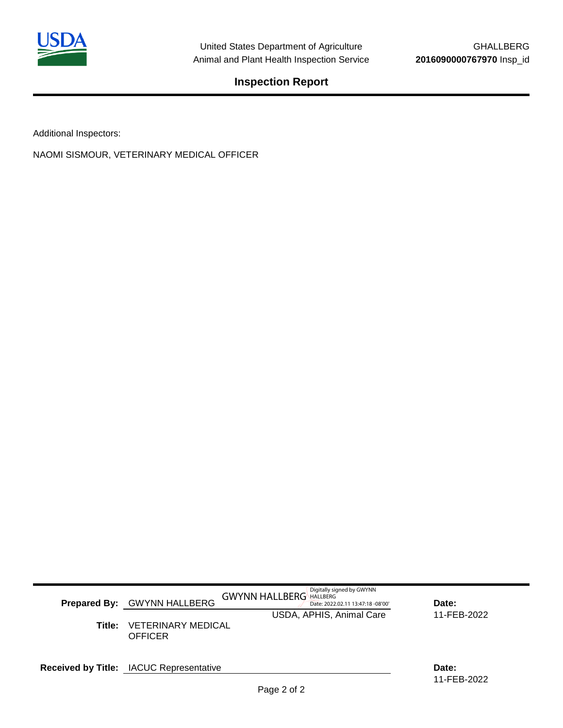

**Inspection Report**

Additional Inspectors:

NAOMI SISMOUR, VETERINARY MEDICAL OFFICER

|        |                                                               | Digitally signed by GWYNN |                      |
|--------|---------------------------------------------------------------|---------------------------|----------------------|
|        | <b>GWYNN HALLBERG HALLBERG</b><br>Prepared By: GWYNN HALLBERG | Date:                     |                      |
|        |                                                               | USDA, APHIS, Animal Care  | 11-FEB-2022          |
| Title: | <b>VETERINARY MEDICAL</b><br><b>OFFICER</b>                   |                           |                      |
|        | <b>Received by Title:</b> IACUC Representative                |                           | Date:<br>11-FEB-2022 |